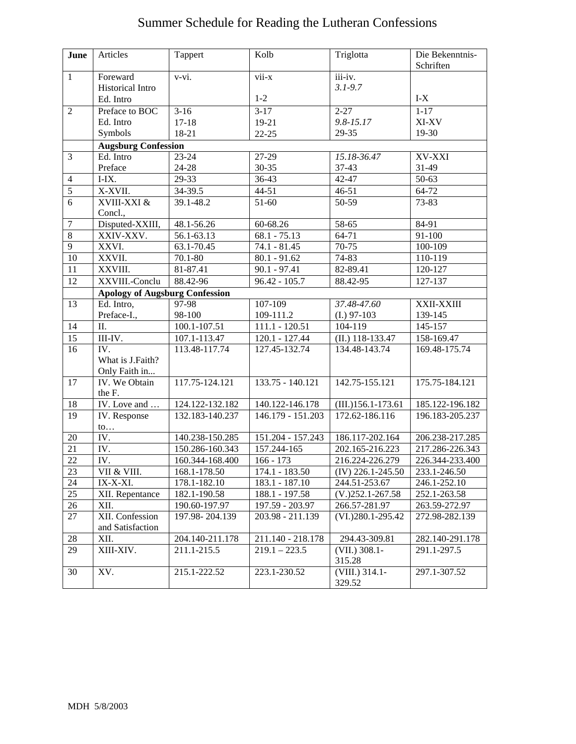## Summer Schedule for Reading the Lutheran Confessions

| June                    | Articles                                   | Tappert             | Kolb                | Triglotta                               | Die Bekenntnis-<br>Schriften |  |
|-------------------------|--------------------------------------------|---------------------|---------------------|-----------------------------------------|------------------------------|--|
| $\mathbf{1}$            | Foreward                                   | $\overline{v-vi}$ . | $\overline{vii-x}$  | iii-iv.                                 |                              |  |
|                         | <b>Historical Intro</b>                    |                     |                     | $3.1 - 9.7$                             |                              |  |
|                         | Ed. Intro                                  |                     | $1-2$               |                                         | $I-X$                        |  |
| $\overline{2}$          | Preface to BOC                             | $3-16$              | $3-17$              | $2 - 27$                                | $1-17$                       |  |
|                         | Ed. Intro                                  | $17 - 18$           | 19-21               | $9.8 - 15.17$                           | XI-XV                        |  |
|                         | Symbols                                    | $18 - 21$           | $22 - 25$           | 29-35                                   | 19-30                        |  |
|                         | <b>Augsburg Confession</b>                 |                     |                     |                                         |                              |  |
| 3                       | Ed. Intro                                  | $23 - 24$           | 27-29               | 15.18-36.47                             | XV-XXI                       |  |
|                         | Preface                                    | 24-28               | $30 - 35$           | $37 - 43$                               | 31-49                        |  |
| $\overline{\mathbf{4}}$ | $I-IX.$                                    | $29-33$             | 36-43               | 42-47                                   | $50 - 63$                    |  |
| $\overline{5}$          | X-XVII.                                    | 34-39.5             | $44 - 51$           | $46 - 51$                               | 64-72                        |  |
| $\overline{6}$          | XVIII-XXI &                                | $39.1 - 48.2$       | $51 - 60$           | 50-59                                   | $73 - 83$                    |  |
|                         | Concl.,                                    |                     |                     |                                         |                              |  |
| $\overline{7}$          | Disputed-XXIII,                            | 48.1-56.26          | 60-68.26            | 58-65                                   | $84-91$                      |  |
| $\overline{8}$          | XXIV-XXV.                                  | $56.1 - 63.13$      | $68.1 - 75.13$      | $64 - 71$                               | $91 - 100$                   |  |
| 9                       | XXVI.                                      | 63.1-70.45          | $74.1 - 81.45$      | $70-75$                                 | $100-109$                    |  |
| $\overline{10}$         | XXVII.                                     | 70.1-80             | $80.1 - 91.62$      | 74-83                                   | 110-119                      |  |
| 11                      | XXVIII.                                    | 81-87.41            | $90.1 - 97.41$      | 82-89.41                                | 120-127                      |  |
| 12                      | XXVIII.-Conclu                             | 88.42-96            | $96.42 - 105.7$     | 88.42-95                                | 127-137                      |  |
|                         | <b>Apology of Augsburg Confession</b>      |                     |                     |                                         |                              |  |
| 13                      | Ed. Intro,                                 | 97-98               | 107-109             | 37.48-47.60                             | XXII-XXIII                   |  |
|                         | Preface-I.,                                | 98-100              | 109-111.2           | $(I.)$ 97-103                           | 139-145                      |  |
| 14                      | II.                                        | $100.1 - 107.51$    | $111.1 - 120.51$    | 104-119                                 | 145-157                      |  |
| 15                      | III-IV.                                    | 107.1-113.47        | $120.1 - 127.44$    | $(II.)$ 118-133.47                      | 158-169.47                   |  |
| 16                      | $\overline{\text{IV}}$ .                   | 113.48-117.74       | 127.45-132.74       | 134.48-143.74                           | 169.48-175.74                |  |
|                         | What is J.Faith?                           |                     |                     |                                         |                              |  |
|                         | Only Faith in                              |                     |                     |                                         |                              |  |
| 17                      | IV. We Obtain                              | $117.75 - 124.121$  | $133.75 - 140.121$  | 142.75-155.121                          | 175.75-184.121               |  |
|                         | the F.                                     |                     |                     |                                         |                              |  |
| 18                      | $\overline{\text{IV}}$ . Love and $\ldots$ | 124.122-132.182     | 140.122-146.178     | $\overline{\text{(III.)}156.1}$ -173.61 | 185.122-196.182              |  |
| 19                      | IV. Response<br>$\mathfrak{to} \dots$      | 132.183-140.237     | 146.179 - 151.203   | 172.62-186.116                          | 196.183-205.237              |  |
| $20\,$                  | IV.                                        | 140.238-150.285     | $151.204 - 157.243$ | 186.117-202.164                         | 206.238-217.285              |  |
| 21                      | IV.                                        | 150.286-160.343     | 157.244-165         | 202.165-216.223                         | 217.286-226.343              |  |
| $\overline{22}$         | IV.                                        | 160.344-168.400     | $166 - 173$         | 216.224-226.279                         | 226.344-233.400              |  |
| 23                      | VII & VIII.                                | 168.1-178.50        | $174.1 - 183.50$    | $(IV)$ 226.1-245.50                     | 233.1-246.50                 |  |
| 24                      | IX-X-XI.                                   | 178.1-182.10        | 183.1 - 187.10      | 244.51-253.67                           | 246.1-252.10                 |  |
| 25                      | XII. Repentance                            | 182.1-190.58        | 188.1 - 197.58      | $(V.)252.1-267.58$                      | 252.1-263.58                 |  |
| 26                      | XII.                                       | 190.60-197.97       | 197.59 - 203.97     | 266.57-281.97                           | 263.59-272.97                |  |
| 27                      | XII. Confession<br>and Satisfaction        | 197.98-204.139      | 203.98 - 211.139    | $(VI.)280.1-295.42$                     | 272.98-282.139               |  |
| 28                      | XII.                                       | 204.140-211.178     | 211.140 - 218.178   | 294.43-309.81                           | 282.140-291.178              |  |
| 29                      | XIII-XIV.                                  | 211.1-215.5         | $219.1 - 223.5$     | (VII.) 308.1-<br>315.28                 | 291.1-297.5                  |  |
| 30                      | XV.                                        | 215.1-222.52        | 223.1-230.52        | (VIII.) 314.1-<br>329.52                | 297.1-307.52                 |  |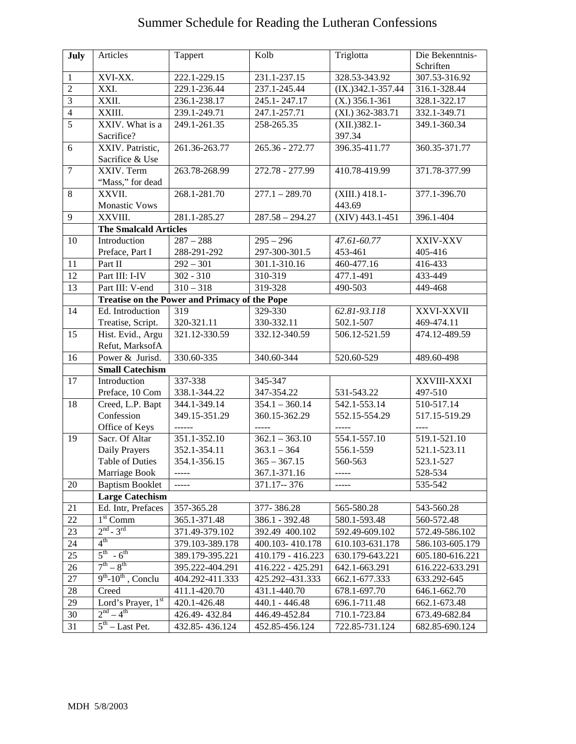## Summer Schedule for Reading the Lutheran Confessions

| July           | Articles                                      | Tappert                  | Kolb                           | Triglotta                  | Die Bekenntnis-      |  |
|----------------|-----------------------------------------------|--------------------------|--------------------------------|----------------------------|----------------------|--|
|                |                                               |                          |                                |                            | Schriften            |  |
| $\mathbf{1}$   | XVI-XX.                                       | 222.1-229.15             | 231.1-237.15                   | 328.53-343.92              | 307.53-316.92        |  |
| $\overline{2}$ | XXI.                                          | 229.1-236.44             | 237.1-245.44                   | $(IX.)$ 342.1-357.44       | 316.1-328.44         |  |
| $\overline{3}$ | XXII.                                         | 236.1-238.17             | 245.1-247.17                   | $(X.)$ 356.1-361           | 328.1-322.17         |  |
| $\overline{4}$ | XXIII.                                        | 239.1-249.71             | 247.1-257.71                   | $(XI.)$ 362-383.71         | 332.1-349.71         |  |
| $\overline{5}$ | XXIV. What is a<br>Sacrifice?                 | 249.1-261.35             | 258-265.35                     | $(XII.)382.1-$<br>397.34   | 349.1-360.34         |  |
| 6              | XXIV. Patristic,<br>Sacrifice & Use           | 261.36-263.77            | $265.36 - 272.77$              | 396.35-411.77              | 360.35-371.77        |  |
| $\overline{7}$ | XXIV. Term<br>"Mass," for dead                | 263.78-268.99            | 272.78 - 277.99                | 410.78-419.99              | 371.78-377.99        |  |
| 8              | XXVII.<br><b>Monastic Vows</b>                | 268.1-281.70             | $277.1 - 289.70$               | $(XIII.) 418.1-$<br>443.69 | 377.1-396.70         |  |
| 9              | XXVIII.                                       | 281.1-285.27             | $287.58 - 294.27$              | $(XIV)$ 443.1-451          | 396.1-404            |  |
|                | <b>The Smalcald Articles</b>                  |                          |                                |                            |                      |  |
| 10             | Introduction                                  | $287 - 288$              | $295 - 296$                    | 47.61-60.77                | XXIV-XXV             |  |
|                | Preface, Part I                               | 288-291-292              | 297-300-301.5                  | 453-461                    | 405-416              |  |
| 11             | Part II                                       | $292 - 301$              | 301.1-310.16                   | 460-477.16                 | 416-433              |  |
| 12             | Part III: I-IV                                | $302 - 310$              | 310-319                        | 477.1-491                  | $433 - 449$          |  |
| 13             | Part III: V-end                               | $310 - 318$              | 319-328                        | 490-503                    | 449-468              |  |
|                | Treatise on the Power and Primacy of the Pope |                          |                                |                            |                      |  |
| 14             | Ed. Introduction                              | 319                      | $\overline{329} - 330$         | 62.81-93.118               | <b>XXVI-XXVII</b>    |  |
|                | Treatise, Script.                             | 320-321.11               | 330-332.11                     | 502.1-507                  | 469-474.11           |  |
| 15             | Hist. Evid., Argu                             | 321.12-330.59            | 332.12-340.59                  | 506.12-521.59              | 474.12-489.59        |  |
|                | Refut, MarksofA                               |                          |                                |                            |                      |  |
| 16             | Power & Jurisd.                               | 330.60-335               | 340.60-344                     | 520.60-529                 | 489.60-498           |  |
|                | <b>Small Catechism</b>                        |                          |                                |                            |                      |  |
| 17             | Introduction                                  | 337-338                  | 345-347                        |                            | XXVIII-XXXI          |  |
|                | Preface, 10 Com                               | 338.1-344.22             | 347-354.22                     | 531-543.22                 | 497-510              |  |
| 18             | Creed, L.P. Bapt                              | 344.1-349.14             | $354.1 - 360.14$               | 542.1-553.14               | 510-517.14           |  |
|                | Confession                                    | 349.15-351.29            | 360.15-362.29                  | 552.15-554.29              | 517.15-519.29        |  |
|                | Office of Keys                                | $- - - - - -$            | $---$                          | -----                      | $\frac{1}{2}$        |  |
| 19             | Sacr. Of Altar                                | 351.1-352.10             | $362.1 - 363.10$               | 554.1-557.10               | 519.1-521.10         |  |
|                | Daily Prayers<br><b>Table of Duties</b>       | 352.1-354.11             | $363.1 - 364$                  | 556.1-559<br>560-563       | 521.1-523.11         |  |
|                | Marriage Book                                 | 354.1-356.15<br>$\cdots$ | $365 - 367.15$<br>367.1-371.16 |                            | 523.1-527<br>528-534 |  |
| 20             | <b>Baptism Booklet</b>                        |                          | 371.17 -- 376                  | -----                      | 535-542              |  |
|                | <b>Large Catechism</b>                        |                          |                                |                            |                      |  |
| 21             | Ed. Intr, Prefaces                            | 357-365.28               | 377-386.28                     | 565-580.28                 | 543-560.28           |  |
| 22             | $1st$ Comm                                    | 365.1-371.48             | 386.1 - 392.48                 | 580.1-593.48               | 560-572.48           |  |
| 23             | $2nd - 3rd$                                   | 371.49-379.102           | 392.49 400.102                 | 592.49-609.102             | 572.49-586.102       |  |
| 24             | $4^{\text{th}}$                               | 379.103-389.178          | 400.103-410.178                | 610.103-631.178            | 586.103-605.179      |  |
| $25\,$         | $5^{th} - 6^{th}$                             | 389.179-395.221          | 410.179 - 416.223              | 630.179-643.221            | 605.180-616.221      |  |
| 26             | $7^{th} - 8^{th}$                             | 395.222-404.291          | 416.222 - 425.291              | $642.1 - 663.291$          | 616.222-633.291      |  |
| $27\,$         | $9th$ -10 <sup>th</sup> , Conclu              | 404.292-411.333          | 425.292-431.333                | 662.1-677.333              | 633.292-645          |  |
| 28             | Creed                                         | 411.1-420.70             | 431.1-440.70                   | 678.1-697.70               | 646.1-662.70         |  |
| 29             | Lord's Prayer, 1st                            | 420.1-426.48             | 440.1 - 446.48                 | 696.1-711.48               | 662.1-673.48         |  |
| 30             | $2^{nd} - 4^{th}$                             | 426.49-432.84            | 446.49-452.84                  | 710.1-723.84               | 673.49-682.84        |  |
| 31             | $5th$ – Last Pet.                             | 432.85-436.124           | 452.85-456.124                 | 722.85-731.124             | 682.85-690.124       |  |